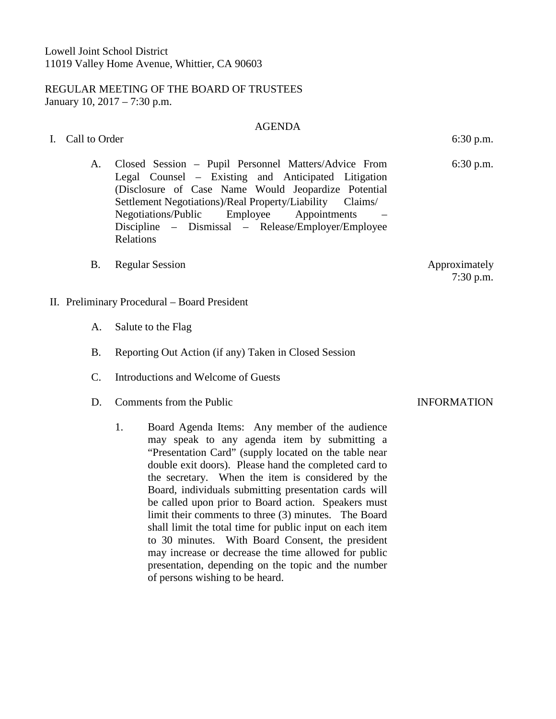## REGULAR MEETING OF THE BOARD OF TRUSTEES January 10, 2017 – 7:30 p.m.

### AGENDA

- I. Call to Order 6:30 p.m.
	- A. Closed Session Pupil Personnel Matters/Advice From Legal Counsel – Existing and Anticipated Litigation (Disclosure of Case Name Would Jeopardize Potential Settlement Negotiations)/Real Property/Liability Claims/ Negotiations/Public Employee Appointments – Discipline – Dismissal – Release/Employer/Employee Relations
	- B. Regular Session Approximately
- II. Preliminary Procedural Board President
	- A. Salute to the Flag
	- B. Reporting Out Action (if any) Taken in Closed Session
	- C. Introductions and Welcome of Guests
	- D. Comments from the Public **INFORMATION** 
		- 1. Board Agenda Items: Any member of the audience may speak to any agenda item by submitting a "Presentation Card" (supply located on the table near double exit doors). Please hand the completed card to the secretary. When the item is considered by the Board, individuals submitting presentation cards will be called upon prior to Board action. Speakers must limit their comments to three (3) minutes. The Board shall limit the total time for public input on each item to 30 minutes. With Board Consent, the president may increase or decrease the time allowed for public presentation, depending on the topic and the number of persons wishing to be heard.

6:30 p.m.

7:30 p.m.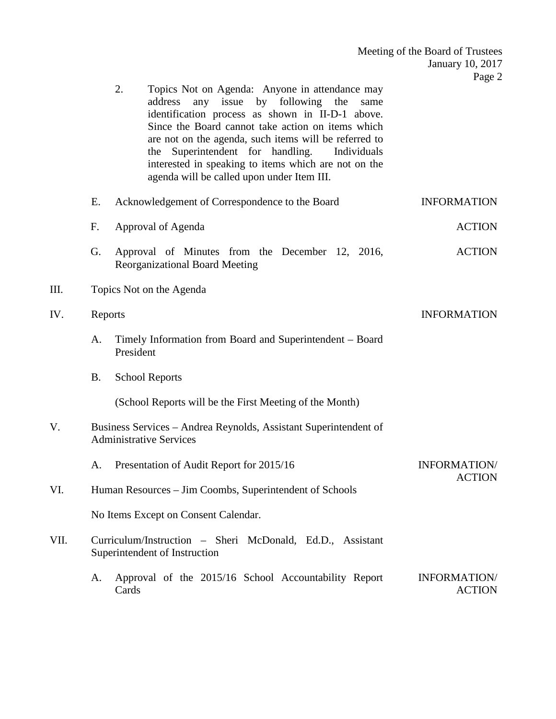|      |                                                                                                    |                                                                                                                                                                                                                                                                                                                                                                                                                                              | January 10, 2017<br>Page 2    |  |
|------|----------------------------------------------------------------------------------------------------|----------------------------------------------------------------------------------------------------------------------------------------------------------------------------------------------------------------------------------------------------------------------------------------------------------------------------------------------------------------------------------------------------------------------------------------------|-------------------------------|--|
|      |                                                                                                    | 2.<br>Topics Not on Agenda: Anyone in attendance may<br>any issue<br>by<br>following<br>address<br>the<br>same<br>identification process as shown in II-D-1 above.<br>Since the Board cannot take action on items which<br>are not on the agenda, such items will be referred to<br>Superintendent for handling.<br>Individuals<br>the<br>interested in speaking to items which are not on the<br>agenda will be called upon under Item III. |                               |  |
|      | Ε.                                                                                                 | Acknowledgement of Correspondence to the Board                                                                                                                                                                                                                                                                                                                                                                                               | <b>INFORMATION</b>            |  |
|      | F.                                                                                                 | Approval of Agenda                                                                                                                                                                                                                                                                                                                                                                                                                           | <b>ACTION</b>                 |  |
|      | G.                                                                                                 | Approval of Minutes from the December 12, 2016,<br><b>Reorganizational Board Meeting</b>                                                                                                                                                                                                                                                                                                                                                     | <b>ACTION</b>                 |  |
| III. |                                                                                                    | Topics Not on the Agenda                                                                                                                                                                                                                                                                                                                                                                                                                     |                               |  |
| IV.  | Reports                                                                                            |                                                                                                                                                                                                                                                                                                                                                                                                                                              | <b>INFORMATION</b>            |  |
|      | A.                                                                                                 | Timely Information from Board and Superintendent - Board<br>President                                                                                                                                                                                                                                                                                                                                                                        |                               |  |
|      | <b>B.</b>                                                                                          | <b>School Reports</b>                                                                                                                                                                                                                                                                                                                                                                                                                        |                               |  |
|      |                                                                                                    | (School Reports will be the First Meeting of the Month)                                                                                                                                                                                                                                                                                                                                                                                      |                               |  |
| V.   | Business Services - Andrea Reynolds, Assistant Superintendent of<br><b>Administrative Services</b> |                                                                                                                                                                                                                                                                                                                                                                                                                                              |                               |  |
|      |                                                                                                    | A. Presentation of Audit Report for 2015/16                                                                                                                                                                                                                                                                                                                                                                                                  | INFORMATION/<br><b>ACTION</b> |  |
| VI.  | Human Resources – Jim Coombs, Superintendent of Schools                                            |                                                                                                                                                                                                                                                                                                                                                                                                                                              |                               |  |
|      | No Items Except on Consent Calendar.                                                               |                                                                                                                                                                                                                                                                                                                                                                                                                                              |                               |  |
| VII. |                                                                                                    | Curriculum/Instruction - Sheri McDonald, Ed.D., Assistant<br>Superintendent of Instruction                                                                                                                                                                                                                                                                                                                                                   |                               |  |
|      |                                                                                                    |                                                                                                                                                                                                                                                                                                                                                                                                                                              |                               |  |

Meeting of the Board of Trustees

A. Approval of the 2015/16 School Accountability Report Cards INFORMATION/ ACTION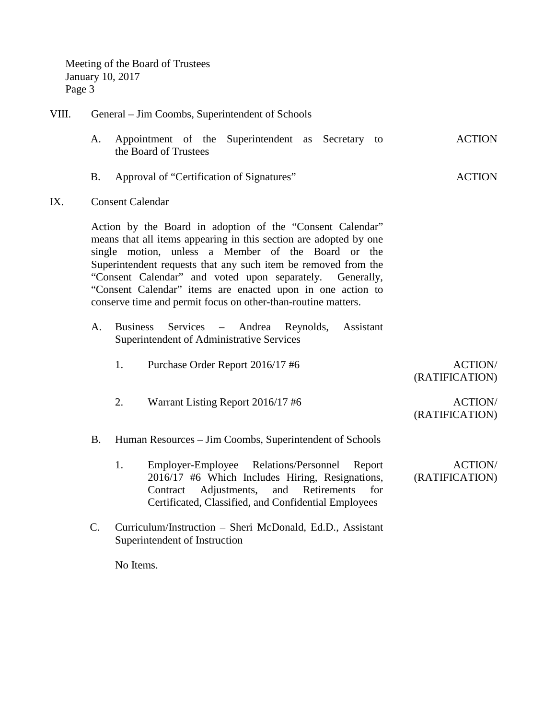Meeting of the Board of Trustees January 10, 2017 Page 3

# VIII. General – Jim Coombs, Superintendent of Schools

- A. Appointment of the Superintendent as Secretary to the Board of Trustees ACTION
- B. Approval of "Certification of Signatures" ACTION
- IX. Consent Calendar

Action by the Board in adoption of the "Consent Calendar" means that all items appearing in this section are adopted by one single motion, unless a Member of the Board or the Superintendent requests that any such item be removed from the "Consent Calendar" and voted upon separately. Generally, "Consent Calendar" items are enacted upon in one action to conserve time and permit focus on other-than-routine matters.

- A. Business Services Andrea Reynolds, Assistant Superintendent of Administrative Services
	- 1. Purchase Order Report 2016/17 #6 ACTION/

(RATIFICATION)

- 2. Warrant Listing Report 2016/17 #6 ACTION/
	- (RATIFICATION)
- B. Human Resources Jim Coombs, Superintendent of Schools
	- 1. Employer-Employee Relations/Personnel Report 2016/17 #6 Which Includes Hiring, Resignations, Contract Adjustments, and Retirements for Certificated, Classified, and Confidential Employees ACTION/ (RATIFICATION)
- C. Curriculum/Instruction Sheri McDonald, Ed.D., Assistant Superintendent of Instruction

No Items.